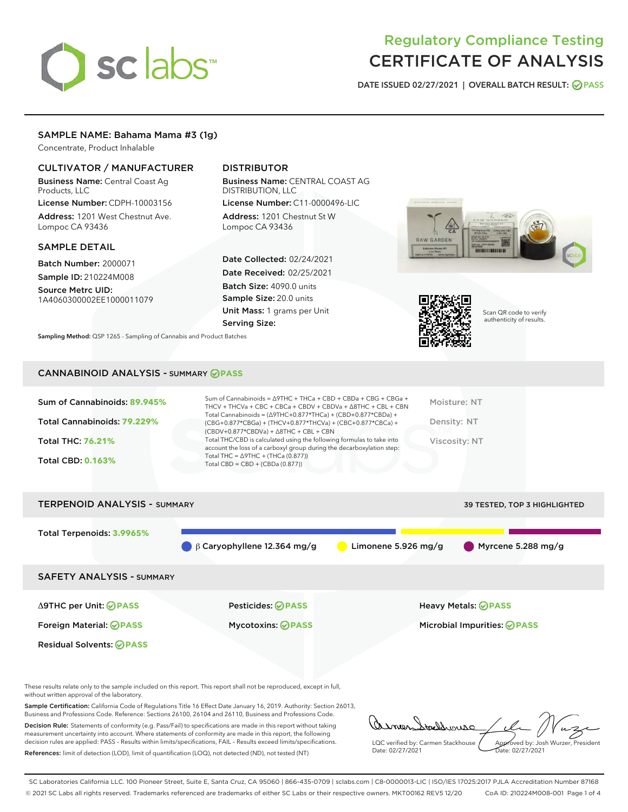# sclabs<sup>\*</sup>

# Regulatory Compliance Testing CERTIFICATE OF ANALYSIS

DATE ISSUED 02/27/2021 | OVERALL BATCH RESULT: @ PASS

# SAMPLE NAME: Bahama Mama #3 (1g)

Concentrate, Product Inhalable

# CULTIVATOR / MANUFACTURER

Business Name: Central Coast Ag Products, LLC

License Number: CDPH-10003156 Address: 1201 West Chestnut Ave. Lompoc CA 93436

#### SAMPLE DETAIL

Batch Number: 2000071 Sample ID: 210224M008

Source Metrc UID: 1A4060300002EE1000011079

# DISTRIBUTOR

Business Name: CENTRAL COAST AG DISTRIBUTION, LLC

License Number: C11-0000496-LIC Address: 1201 Chestnut St W Lompoc CA 93436

Date Collected: 02/24/2021 Date Received: 02/25/2021 Batch Size: 4090.0 units Sample Size: 20.0 units Unit Mass: 1 grams per Unit Serving Size:

Sampling Method: QSP 1265 - Sampling of Cannabis and Product Batches





Scan QR code to verify authenticity of results.

# CANNABINOID ANALYSIS - SUMMARY **PASS**

| Sum of Cannabinoids: 89.945%<br>Total Cannabinoids: 79.229%<br><b>Total THC: 76.21%</b><br><b>Total CBD: 0.163%</b> | Sum of Cannabinoids = $\triangle$ 9THC + THCa + CBD + CBDa + CBG + CBGa +<br>THCV + THCVa + CBC + CBCa + CBDV + CBDVa + $\Delta$ 8THC + CBL + CBN<br>Total Cannabinoids = $(\Delta$ 9THC+0.877*THCa) + (CBD+0.877*CBDa) +<br>(CBG+0.877*CBGa) + (THCV+0.877*THCVa) + (CBC+0.877*CBCa) +<br>$(CBDV+0.877*CBDVa) + \Delta 8THC + CBL + CBN$<br>Total THC/CBD is calculated using the following formulas to take into<br>account the loss of a carboxyl group during the decarboxylation step:<br>Total THC = $\triangle$ 9THC + (THCa (0.877))<br>Total CBD = $CBD + (CBDa (0.877))$ | Moisture: NT<br>Density: NT<br>Viscosity: NT |
|---------------------------------------------------------------------------------------------------------------------|------------------------------------------------------------------------------------------------------------------------------------------------------------------------------------------------------------------------------------------------------------------------------------------------------------------------------------------------------------------------------------------------------------------------------------------------------------------------------------------------------------------------------------------------------------------------------------|----------------------------------------------|
| <b>TERPENOID ANALYSIS - SUMMARY</b>                                                                                 |                                                                                                                                                                                                                                                                                                                                                                                                                                                                                                                                                                                    | 39 TESTED, TOP 3 HIGHLIGHTED                 |
| Total Terpenoids: 3.9965%                                                                                           | $\beta$ Caryophyllene 12.364 mg/g<br>Limonene 5.926 mg/g                                                                                                                                                                                                                                                                                                                                                                                                                                                                                                                           | Myrcene 5.288 mg/g                           |

SAFETY ANALYSIS - SUMMARY

Δ9THC per Unit: **PASS** Pesticides: **PASS** Heavy Metals: **PASS**

Residual Solvents: **PASS** 

Foreign Material: **PASS** Mycotoxins: **PASS** Microbial Impurities: **PASS**

These results relate only to the sample included on this report. This report shall not be reproduced, except in full, without written approval of the laboratory.

Sample Certification: California Code of Regulations Title 16 Effect Date January 16, 2019. Authority: Section 26013, Business and Professions Code. Reference: Sections 26100, 26104 and 26110, Business and Professions Code.

Decision Rule: Statements of conformity (e.g. Pass/Fail) to specifications are made in this report without taking measurement uncertainty into account. Where statements of conformity are made in this report, the following decision rules are applied: PASS – Results within limits/specifications, FAIL – Results exceed limits/specifications. References: limit of detection (LOD), limit of quantification (LOQ), not detected (ND), not tested (NT)

arne tacherouse LQC verified by: Carmen Stackhouse Approved by: Josh Wurzer, President Date: 02/27/2021 ppioved by: 585

SC Laboratories California LLC. 100 Pioneer Street, Suite E, Santa Cruz, CA 95060 | 866-435-0709 | sclabs.com | C8-0000013-LIC | ISO/IES 17025:2017 PJLA Accreditation Number 87168 © 2021 SC Labs all rights reserved. Trademarks referenced are trademarks of either SC Labs or their respective owners. MKT00162 REV5 12/20 CoA ID: 210224M008-001 Page 1 of 4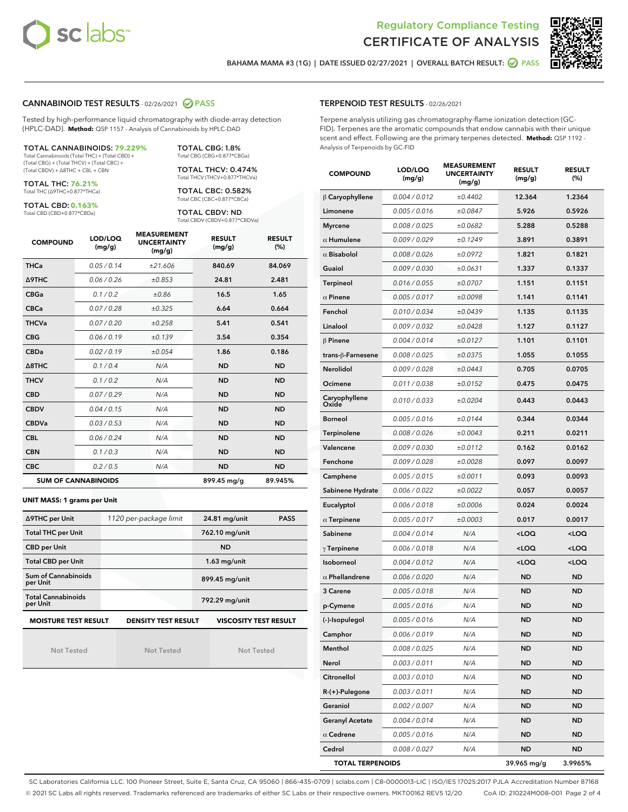



BAHAMA MAMA #3 (1G) | DATE ISSUED 02/27/2021 | OVERALL BATCH RESULT:  $\bigcirc$  PASS

#### CANNABINOID TEST RESULTS - 02/26/2021 2 PASS

Tested by high-performance liquid chromatography with diode-array detection (HPLC-DAD). **Method:** QSP 1157 - Analysis of Cannabinoids by HPLC-DAD

TOTAL CANNABINOIDS: **79.229%** Total Cannabinoids (Total THC) + (Total CBD) +

(Total CBG) + (Total THCV) + (Total CBC) + (Total CBDV) + ∆8THC + CBL + CBN

TOTAL THC: **76.21%** Total THC (∆9THC+0.877\*THCa)

TOTAL CBD: **0.163%**

Total CBD (CBD+0.877\*CBDa)

TOTAL CBG: 1.8% Total CBG (CBG+0.877\*CBGa)

TOTAL THCV: 0.474% Total THCV (THCV+0.877\*THCVa)

TOTAL CBC: 0.582% Total CBC (CBC+0.877\*CBCa)

TOTAL CBDV: ND Total CBDV (CBDV+0.877\*CBDVa)

| <b>COMPOUND</b> | LOD/LOQ<br>(mg/g)          | <b>MEASUREMENT</b><br><b>UNCERTAINTY</b><br>(mg/g) | <b>RESULT</b><br>(mg/g) | <b>RESULT</b><br>(% ) |
|-----------------|----------------------------|----------------------------------------------------|-------------------------|-----------------------|
| <b>THCa</b>     | 0.05/0.14                  | ±21.606                                            | 840.69                  | 84.069                |
| <b>A9THC</b>    | 0.06 / 0.26                | ±0.853                                             | 24.81                   | 2.481                 |
| <b>CBGa</b>     | 0.1/0.2                    | ±0.86                                              | 16.5                    | 1.65                  |
| <b>CBCa</b>     | 0.07/0.28                  | ±0.325                                             | 6.64                    | 0.664                 |
| <b>THCVa</b>    | 0.07/0.20                  | ±0.258                                             | 5.41                    | 0.541                 |
| <b>CBG</b>      | 0.06/0.19                  | ±0.139                                             | 3.54                    | 0.354                 |
| <b>CBDa</b>     | 0.02/0.19                  | ±0.054                                             | 1.86                    | 0.186                 |
| A8THC           | 0.1/0.4                    | N/A                                                | <b>ND</b>               | <b>ND</b>             |
| <b>THCV</b>     | 0.1/0.2                    | N/A                                                | <b>ND</b>               | <b>ND</b>             |
| <b>CBD</b>      | 0.07/0.29                  | N/A                                                | <b>ND</b>               | <b>ND</b>             |
| <b>CBDV</b>     | 0.04 / 0.15                | N/A                                                | <b>ND</b>               | <b>ND</b>             |
| <b>CBDVa</b>    | 0.03/0.53                  | N/A                                                | <b>ND</b>               | <b>ND</b>             |
| <b>CBL</b>      | 0.06 / 0.24                | N/A                                                | <b>ND</b>               | <b>ND</b>             |
| <b>CBN</b>      | 0.1/0.3                    | N/A                                                | <b>ND</b>               | <b>ND</b>             |
| <b>CBC</b>      | 0.2 / 0.5                  | N/A                                                | <b>ND</b>               | <b>ND</b>             |
|                 | <b>SUM OF CANNABINOIDS</b> |                                                    | 899.45 mg/g             | 89.945%               |

#### **UNIT MASS: 1 grams per Unit**

| ∆9THC per Unit                                                                            | 1120 per-package limit | 24.81 mg/unit<br><b>PASS</b> |  |  |  |
|-------------------------------------------------------------------------------------------|------------------------|------------------------------|--|--|--|
| <b>Total THC per Unit</b>                                                                 |                        | 762.10 mg/unit               |  |  |  |
| <b>CBD per Unit</b>                                                                       |                        | <b>ND</b>                    |  |  |  |
| <b>Total CBD per Unit</b>                                                                 |                        | $1.63$ mg/unit               |  |  |  |
| Sum of Cannabinoids<br>per Unit                                                           |                        | 899.45 mg/unit               |  |  |  |
| <b>Total Cannabinoids</b><br>per Unit                                                     |                        | 792.29 mg/unit               |  |  |  |
| <b>MOISTURE TEST RESULT</b><br><b>VISCOSITY TEST RESULT</b><br><b>DENSITY TEST RESULT</b> |                        |                              |  |  |  |

Not Tested

**MOISTURE TEST RESULT**

Not Tested

Not Tested

#### TERPENOID TEST RESULTS - 02/26/2021

Terpene analysis utilizing gas chromatography-flame ionization detection (GC-FID). Terpenes are the aromatic compounds that endow cannabis with their unique scent and effect. Following are the primary terpenes detected. **Method:** QSP 1192 - Analysis of Terpenoids by GC-FID

| <b>COMPOUND</b>         | LOD/LOQ<br>(mg/g) | <b>MEASUREMENT</b><br><b>UNCERTAINTY</b><br>(mg/g) | <b>RESULT</b><br>(mg/g)                         | <b>RESULT</b><br>$(\%)$ |
|-------------------------|-------------------|----------------------------------------------------|-------------------------------------------------|-------------------------|
| $\beta$ Caryophyllene   | 0.004 / 0.012     | ±0.4402                                            | 12.364                                          | 1.2364                  |
| Limonene                | 0.005 / 0.016     | ±0.0847                                            | 5.926                                           | 0.5926                  |
| <b>Myrcene</b>          | 0.008 / 0.025     | ±0.0682                                            | 5.288                                           | 0.5288                  |
| $\alpha$ Humulene       | 0.009 / 0.029     | ±0.1249                                            | 3.891                                           | 0.3891                  |
| $\alpha$ Bisabolol      | 0.008 / 0.026     | ±0.0972                                            | 1.821                                           | 0.1821                  |
| Guaiol                  | 0.009 / 0.030     | ±0.0631                                            | 1.337                                           | 0.1337                  |
| Terpineol               | 0.016 / 0.055     | ±0.0707                                            | 1.151                                           | 0.1151                  |
| $\alpha$ Pinene         | 0.005 / 0.017     | ±0.0098                                            | 1.141                                           | 0.1141                  |
| Fenchol                 | 0.010 / 0.034     | ±0.0439                                            | 1.135                                           | 0.1135                  |
| Linalool                | 0.009 / 0.032     | ±0.0428                                            | 1.127                                           | 0.1127                  |
| $\beta$ Pinene          | 0.004 / 0.014     | ±0.0127                                            | 1.101                                           | 0.1101                  |
| trans-ß-Farnesene       | 0.008 / 0.025     | ±0.0375                                            | 1.055                                           | 0.1055                  |
| Nerolidol               | 0.009 / 0.028     | ±0.0443                                            | 0.705                                           | 0.0705                  |
| Ocimene                 | 0.011 / 0.038     | ±0.0152                                            | 0.475                                           | 0.0475                  |
| Caryophyllene<br>Oxide  | 0.010 / 0.033     | ±0.0204                                            | 0.443                                           | 0.0443                  |
| <b>Borneol</b>          | 0.005 / 0.016     | ±0.0144                                            | 0.344                                           | 0.0344                  |
| Terpinolene             | 0.008 / 0.026     | ±0.0043                                            | 0.211                                           | 0.0211                  |
| Valencene               | 0.009 / 0.030     | ±0.0112                                            | 0.162                                           | 0.0162                  |
| Fenchone                | 0.009 / 0.028     | ±0.0028                                            | 0.097                                           | 0.0097                  |
| Camphene                | 0.005 / 0.015     | ±0.0011                                            | 0.093                                           | 0.0093                  |
| Sabinene Hydrate        | 0.006 / 0.022     | ±0.0022                                            | 0.057                                           | 0.0057                  |
| Eucalyptol              | 0.006 / 0.018     | ±0.0006                                            | 0.024                                           | 0.0024                  |
| $\alpha$ Terpinene      | 0.005 / 0.017     | ±0.0003                                            | 0.017                                           | 0.0017                  |
| Sabinene                | 0.004 / 0.014     | N/A                                                | <loq< th=""><th><loq< th=""></loq<></th></loq<> | <loq< th=""></loq<>     |
| $\gamma$ Terpinene      | 0.006 / 0.018     | N/A                                                | <loq< th=""><th><loq< th=""></loq<></th></loq<> | <loq< th=""></loq<>     |
| Isoborneol              | 0.004 / 0.012     | N/A                                                | <loq< th=""><th><loq< th=""></loq<></th></loq<> | <loq< th=""></loq<>     |
| $\alpha$ Phellandrene   | 0.006 / 0.020     | N/A                                                | <b>ND</b>                                       | <b>ND</b>               |
| <b>3 Carene</b>         | 0.005 / 0.018     | N/A                                                | <b>ND</b>                                       | <b>ND</b>               |
| p-Cymene                | 0.005 / 0.016     | N/A                                                | ND                                              | ND                      |
| (-)-Isopulegol          | 0.005 / 0.016     | N/A                                                | <b>ND</b>                                       | ND                      |
| Camphor                 | 0.006 / 0.019     | N/A                                                | ND                                              | ND                      |
| Menthol                 | 0.008 / 0.025     | N/A                                                | ND                                              | ND                      |
| Nerol                   | 0.003 / 0.011     | N/A                                                | ND                                              | ND                      |
| Citronellol             | 0.003 / 0.010     | N/A                                                | ND                                              | ND                      |
| R-(+)-Pulegone          | 0.003 / 0.011     | N/A                                                | ND                                              | ND                      |
| Geraniol                | 0.002 / 0.007     | N/A                                                | ND                                              | ND                      |
| <b>Geranyl Acetate</b>  | 0.004 / 0.014     | N/A                                                | ND                                              | ND                      |
| $\alpha$ Cedrene        | 0.005 / 0.016     | N/A                                                | ND                                              | ND                      |
| Cedrol                  | 0.008 / 0.027     | N/A                                                | ND                                              | ND                      |
| <b>TOTAL TERPENOIDS</b> |                   |                                                    | 39.965 mg/g                                     | 3.9965%                 |

SC Laboratories California LLC. 100 Pioneer Street, Suite E, Santa Cruz, CA 95060 | 866-435-0709 | sclabs.com | C8-0000013-LIC | ISO/IES 17025:2017 PJLA Accreditation Number 87168 © 2021 SC Labs all rights reserved. Trademarks referenced are trademarks of either SC Labs or their respective owners. MKT00162 REV5 12/20 CoA ID: 210224M008-001 Page 2 of 4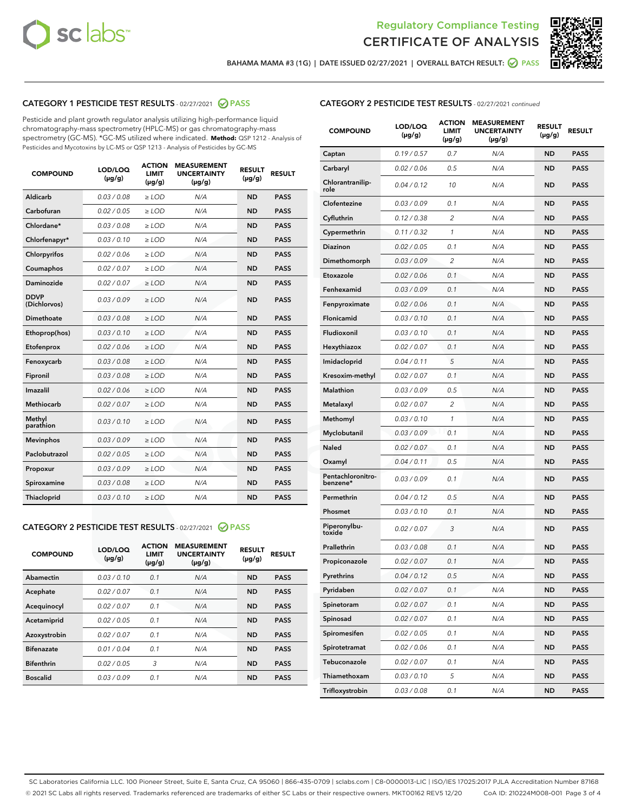



BAHAMA MAMA #3 (1G) | DATE ISSUED 02/27/2021 | OVERALL BATCH RESULT:  $\bigcirc$  PASS

# CATEGORY 1 PESTICIDE TEST RESULTS - 02/27/2021 2 PASS

Pesticide and plant growth regulator analysis utilizing high-performance liquid chromatography-mass spectrometry (HPLC-MS) or gas chromatography-mass spectrometry (GC-MS). \*GC-MS utilized where indicated. **Method:** QSP 1212 - Analysis of Pesticides and Mycotoxins by LC-MS or QSP 1213 - Analysis of Pesticides by GC-MS

| <b>COMPOUND</b>             | LOD/LOQ<br>$(\mu g/g)$ | <b>ACTION</b><br>LIMIT<br>$(\mu g/g)$ | <b>MEASUREMENT</b><br><b>UNCERTAINTY</b><br>$(\mu g/g)$ | <b>RESULT</b><br>$(\mu g/g)$ | <b>RESULT</b> |
|-----------------------------|------------------------|---------------------------------------|---------------------------------------------------------|------------------------------|---------------|
| Aldicarb                    | 0.03 / 0.08            | $\ge$ LOD                             | N/A                                                     | <b>ND</b>                    | <b>PASS</b>   |
| Carbofuran                  | 0.02 / 0.05            | $\ge$ LOD                             | N/A                                                     | <b>ND</b>                    | <b>PASS</b>   |
| Chlordane*                  | 0.03 / 0.08            | $\ge$ LOD                             | N/A                                                     | <b>ND</b>                    | <b>PASS</b>   |
| Chlorfenapyr*               | 0.03/0.10              | $\ge$ LOD                             | N/A                                                     | <b>ND</b>                    | <b>PASS</b>   |
| Chlorpyrifos                | 0.02 / 0.06            | $\ge$ LOD                             | N/A                                                     | <b>ND</b>                    | <b>PASS</b>   |
| Coumaphos                   | 0.02 / 0.07            | $\ge$ LOD                             | N/A                                                     | <b>ND</b>                    | <b>PASS</b>   |
| Daminozide                  | 0.02/0.07              | $\ge$ LOD                             | N/A                                                     | <b>ND</b>                    | <b>PASS</b>   |
| <b>DDVP</b><br>(Dichlorvos) | 0.03/0.09              | $\ge$ LOD                             | N/A                                                     | <b>ND</b>                    | <b>PASS</b>   |
| Dimethoate                  | 0.03 / 0.08            | $>$ LOD                               | N/A                                                     | <b>ND</b>                    | <b>PASS</b>   |
| Ethoprop(hos)               | 0.03/0.10              | $\ge$ LOD                             | N/A                                                     | <b>ND</b>                    | <b>PASS</b>   |
| Etofenprox                  | 0.02/0.06              | $>$ LOD                               | N/A                                                     | <b>ND</b>                    | <b>PASS</b>   |
| Fenoxycarb                  | 0.03/0.08              | $>$ LOD                               | N/A                                                     | <b>ND</b>                    | <b>PASS</b>   |
| Fipronil                    | 0.03 / 0.08            | $>$ LOD                               | N/A                                                     | <b>ND</b>                    | <b>PASS</b>   |
| Imazalil                    | 0.02/0.06              | $>$ LOD                               | N/A                                                     | <b>ND</b>                    | <b>PASS</b>   |
| <b>Methiocarb</b>           | 0.02 / 0.07            | $\ge$ LOD                             | N/A                                                     | <b>ND</b>                    | <b>PASS</b>   |
| Methyl<br>parathion         | 0.03/0.10              | $\ge$ LOD                             | N/A                                                     | <b>ND</b>                    | <b>PASS</b>   |
| <b>Mevinphos</b>            | 0.03/0.09              | $\ge$ LOD                             | N/A                                                     | <b>ND</b>                    | <b>PASS</b>   |
| Paclobutrazol               | 0.02 / 0.05            | $\ge$ LOD                             | N/A                                                     | <b>ND</b>                    | <b>PASS</b>   |
| Propoxur                    | 0.03 / 0.09            | $\ge$ LOD                             | N/A                                                     | <b>ND</b>                    | <b>PASS</b>   |
| Spiroxamine                 | 0.03 / 0.08            | $\ge$ LOD                             | N/A                                                     | <b>ND</b>                    | <b>PASS</b>   |
| Thiacloprid                 | 0.03/0.10              | $\ge$ LOD                             | N/A                                                     | <b>ND</b>                    | <b>PASS</b>   |

#### CATEGORY 2 PESTICIDE TEST RESULTS - 02/27/2021 @ PASS

| <b>COMPOUND</b>   | LOD/LOQ<br>$(\mu g/g)$ | <b>ACTION</b><br><b>LIMIT</b><br>$(\mu g/g)$ | <b>MEASUREMENT</b><br><b>UNCERTAINTY</b><br>$(\mu g/g)$ | <b>RESULT</b><br>$(\mu g/g)$ | <b>RESULT</b> |
|-------------------|------------------------|----------------------------------------------|---------------------------------------------------------|------------------------------|---------------|
| Abamectin         | 0.03/0.10              | 0.1                                          | N/A                                                     | <b>ND</b>                    | <b>PASS</b>   |
| Acephate          | 0.02/0.07              | 0.1                                          | N/A                                                     | <b>ND</b>                    | <b>PASS</b>   |
| Acequinocyl       | 0.02/0.07              | 0.1                                          | N/A                                                     | <b>ND</b>                    | <b>PASS</b>   |
| Acetamiprid       | 0.02/0.05              | 0.1                                          | N/A                                                     | <b>ND</b>                    | <b>PASS</b>   |
| Azoxystrobin      | 0.02/0.07              | 0.1                                          | N/A                                                     | <b>ND</b>                    | <b>PASS</b>   |
| <b>Bifenazate</b> | 0.01/0.04              | 0.1                                          | N/A                                                     | <b>ND</b>                    | <b>PASS</b>   |
| <b>Bifenthrin</b> | 0.02/0.05              | 3                                            | N/A                                                     | <b>ND</b>                    | <b>PASS</b>   |
| <b>Boscalid</b>   | 0.03/0.09              | 0.1                                          | N/A                                                     | <b>ND</b>                    | <b>PASS</b>   |

| <b>COMPOUND</b>               | LOD/LOQ<br>(µg/g) | <b>ACTION</b><br>LIMIT<br>(µg/g) | <b>MEASUREMENT</b><br><b>UNCERTAINTY</b><br>(µg/g) | <b>RESULT</b><br>(µg/g) | <b>RESULT</b> |
|-------------------------------|-------------------|----------------------------------|----------------------------------------------------|-------------------------|---------------|
| Captan                        | 0.19 / 0.57       | 0.7                              | N/A                                                | <b>ND</b>               | <b>PASS</b>   |
| Carbaryl                      | 0.02 / 0.06       | 0.5                              | N/A                                                | <b>ND</b>               | <b>PASS</b>   |
| Chlorantranilip-<br>role      | 0.04 / 0.12       | 10                               | N/A                                                | <b>ND</b>               | <b>PASS</b>   |
| Clofentezine                  | 0.03 / 0.09       | 0.1                              | N/A                                                | <b>ND</b>               | <b>PASS</b>   |
| Cyfluthrin                    | 0.12 / 0.38       | 2                                | N/A                                                | ND                      | <b>PASS</b>   |
| Cypermethrin                  | 0.11/0.32         | 1                                | N/A                                                | ND                      | <b>PASS</b>   |
| <b>Diazinon</b>               | 0.02 / 0.05       | 0.1                              | N/A                                                | <b>ND</b>               | <b>PASS</b>   |
| Dimethomorph                  | 0.03 / 0.09       | 2                                | N/A                                                | ND                      | <b>PASS</b>   |
| Etoxazole                     | 0.02 / 0.06       | 0.1                              | N/A                                                | ND                      | <b>PASS</b>   |
| Fenhexamid                    | 0.03/0.09         | 0.1                              | N/A                                                | <b>ND</b>               | <b>PASS</b>   |
| Fenpyroximate                 | 0.02 / 0.06       | 0.1                              | N/A                                                | ND                      | <b>PASS</b>   |
| Flonicamid                    | 0.03 / 0.10       | 0.1                              | N/A                                                | ND                      | <b>PASS</b>   |
| Fludioxonil                   | 0.03/0.10         | 0.1                              | N/A                                                | <b>ND</b>               | PASS          |
| Hexythiazox                   | 0.02 / 0.07       | 0.1                              | N/A                                                | ND                      | <b>PASS</b>   |
| Imidacloprid                  | 0.04 / 0.11       | 5                                | N/A                                                | ND                      | <b>PASS</b>   |
| Kresoxim-methyl               | 0.02 / 0.07       | 0.1                              | N/A                                                | <b>ND</b>               | <b>PASS</b>   |
| <b>Malathion</b>              | 0.03/0.09         | 0.5                              | N/A                                                | ND                      | <b>PASS</b>   |
| Metalaxyl                     | 0.02 / 0.07       | 2                                | N/A                                                | ND                      | <b>PASS</b>   |
| Methomyl                      | 0.03 / 0.10       | 1                                | N/A                                                | <b>ND</b>               | PASS          |
| Myclobutanil                  | 0.03 / 0.09       | 0.1                              | N/A                                                | ND                      | <b>PASS</b>   |
| Naled                         | 0.02 / 0.07       | 0.1                              | N/A                                                | ND                      | <b>PASS</b>   |
| Oxamyl                        | 0.04 / 0.11       | 0.5                              | N/A                                                | <b>ND</b>               | PASS          |
| Pentachloronitro-<br>benzene* | 0.03 / 0.09       | 0.1                              | N/A                                                | ND                      | PASS          |
| Permethrin                    | 0.04 / 0.12       | 0.5                              | N/A                                                | ND                      | <b>PASS</b>   |
| Phosmet                       | 0.03/0.10         | 0.1                              | N/A                                                | <b>ND</b>               | <b>PASS</b>   |
| Piperonylbu-<br>toxide        | 0.02 / 0.07       | 3                                | N/A                                                | ND                      | <b>PASS</b>   |
| Prallethrin                   | 0.03 / 0.08       | 0.1                              | N/A                                                | ND                      | <b>PASS</b>   |
| Propiconazole                 | 0.02 / 0.07       | 0.1                              | N/A                                                | ND                      | <b>PASS</b>   |
| Pyrethrins                    | 0.04 / 0.12       | 0.5                              | N/A                                                | ND                      | PASS          |
| Pyridaben                     | 0.02 / 0.07       | 0.1                              | N/A                                                | ND                      | PASS          |
| Spinetoram                    | 0.02 / 0.07       | 0.1                              | N/A                                                | ND                      | <b>PASS</b>   |
| Spinosad                      | 0.02 / 0.07       | 0.1                              | N/A                                                | ND                      | <b>PASS</b>   |
| Spiromesifen                  | 0.02 / 0.05       | 0.1                              | N/A                                                | ND                      | <b>PASS</b>   |
| Spirotetramat                 | 0.02 / 0.06       | 0.1                              | N/A                                                | <b>ND</b>               | <b>PASS</b>   |
| Tebuconazole                  | 0.02 / 0.07       | 0.1                              | N/A                                                | ND                      | <b>PASS</b>   |
| Thiamethoxam                  | 0.03 / 0.10       | 5                                | N/A                                                | <b>ND</b>               | <b>PASS</b>   |
| Trifloxystrobin               | 0.03 / 0.08       | 0.1                              | N/A                                                | <b>ND</b>               | <b>PASS</b>   |